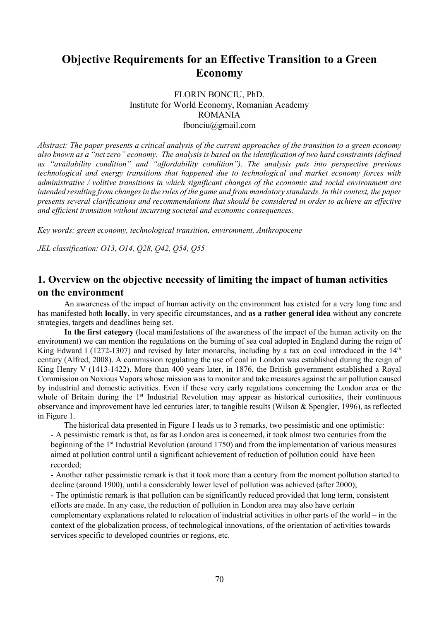# Objective Requirements for an Effective Transition to a Green Economy

FLORIN BONCIU, PhD. Institute for World Economy, Romanian Academy ROMANIA fbonciu@gmail.com

Abstract: The paper presents a critical analysis of the current approaches of the transition to a green economy also known as a "net zero" economy. The analysis is based on the identification of two hard constraints (defined as "availability condition" and "affordability condition"). The analysis puts into perspective previous technological and energy transitions that happened due to technological and market economy forces with administrative / volitive transitions in which significant changes of the economic and social environment are intended resulting from changes in the rules of the game and from mandatory standards. In this context, the paper presents several clarifications and recommendations that should be considered in order to achieve an effective and efficient transition without incurring societal and economic consequences.

Key words: green economy, technological transition, environment, Anthropocene

JEL classification: O13, O14, Q28, Q42, Q54, Q55

## 1. Overview on the objective necessity of limiting the impact of human activities on the environment

An awareness of the impact of human activity on the environment has existed for a very long time and has manifested both locally, in very specific circumstances, and as a rather general idea without any concrete strategies, targets and deadlines being set.

In the first category (local manifestations of the awareness of the impact of the human activity on the environment) we can mention the regulations on the burning of sea coal adopted in England during the reign of King Edward I (1272-1307) and revised by later monarchs, including by a tax on coal introduced in the  $14<sup>th</sup>$ century (Alfred, 2008). A commission regulating the use of coal in London was established during the reign of King Henry V (1413-1422). More than 400 years later, in 1876, the British government established a Royal Commission on Noxious Vapors whose mission was to monitor and take measures against the air pollution caused by industrial and domestic activities. Even if these very early regulations concerning the London area or the whole of Britain during the 1<sup>st</sup> Industrial Revolution may appear as historical curiosities, their continuous observance and improvement have led centuries later, to tangible results (Wilson & Spengler, 1996), as reflected in Figure 1.

The historical data presented in Figure 1 leads us to 3 remarks, two pessimistic and one optimistic: - A pessimistic remark is that, as far as London area is concerned, it took almost two centuries from the beginning of the 1st Industrial Revolution (around 1750) and from the implementation of various measures aimed at pollution control until a significant achievement of reduction of pollution could have been recorded;

- Another rather pessimistic remark is that it took more than a century from the moment pollution started to decline (around 1900), until a considerably lower level of pollution was achieved (after 2000);

- The optimistic remark is that pollution can be significantly reduced provided that long term, consistent efforts are made. In any case, the reduction of pollution in London area may also have certain complementary explanations related to relocation of industrial activities in other parts of the world – in the context of the globalization process, of technological innovations, of the orientation of activities towards services specific to developed countries or regions, etc.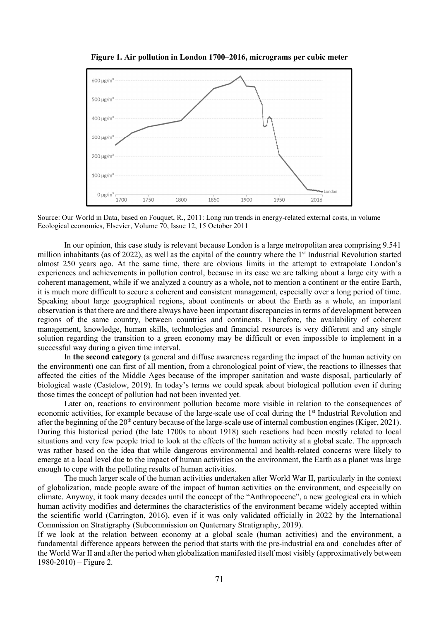

Figure 1. Air pollution in London 1700–2016, micrograms per cubic meter

Source: Our World in Data, based on Fouquet, R., 2011: Long run trends in energy-related external costs, in volume Ecological economics, Elsevier, Volume 70, Issue 12, 15 October 2011

In our opinion, this case study is relevant because London is a large metropolitan area comprising 9.541 million inhabitants (as of 2022), as well as the capital of the country where the  $1<sup>st</sup>$  Industrial Revolution started almost 250 years ago. At the same time, there are obvious limits in the attempt to extrapolate London's experiences and achievements in pollution control, because in its case we are talking about a large city with a coherent management, while if we analyzed a country as a whole, not to mention a continent or the entire Earth, it is much more difficult to secure a coherent and consistent management, especially over a long period of time. Speaking about large geographical regions, about continents or about the Earth as a whole, an important observation is that there are and there always have been important discrepancies in terms of development between regions of the same country, between countries and continents. Therefore, the availability of coherent management, knowledge, human skills, technologies and financial resources is very different and any single solution regarding the transition to a green economy may be difficult or even impossible to implement in a successful way during a given time interval.

In the second category (a general and diffuse awareness regarding the impact of the human activity on the environment) one can first of all mention, from a chronological point of view, the reactions to illnesses that affected the cities of the Middle Ages because of the improper sanitation and waste disposal, particularly of biological waste (Castelow, 2019). In today's terms we could speak about biological pollution even if during those times the concept of pollution had not been invented yet.

Later on, reactions to environment pollution became more visible in relation to the consequences of economic activities, for example because of the large-scale use of coal during the 1<sup>st</sup> Industrial Revolution and after the beginning of the 20<sup>th</sup> century because of the large-scale use of internal combustion engines (Kiger, 2021). During this historical period (the late 1700s to about 1918) such reactions had been mostly related to local situations and very few people tried to look at the effects of the human activity at a global scale. The approach was rather based on the idea that while dangerous environmental and health-related concerns were likely to emerge at a local level due to the impact of human activities on the environment, the Earth as a planet was large enough to cope with the polluting results of human activities.

The much larger scale of the human activities undertaken after World War II, particularly in the context of globalization, made people aware of the impact of human activities on the environment, and especially on climate. Anyway, it took many decades until the concept of the "Anthropocene", a new geological era in which human activity modifies and determines the characteristics of the environment became widely accepted within the scientific world (Carrington, 2016), even if it was only validated officially in 2022 by the International Commission on Stratigraphy (Subcommission on Quaternary Stratigraphy, 2019).

If we look at the relation between economy at a global scale (human activities) and the environment, a fundamental difference appears between the period that starts with the pre-industrial era and concludes after of the World War II and after the period when globalization manifested itself most visibly (approximatively between  $1980-2010$  – Figure 2.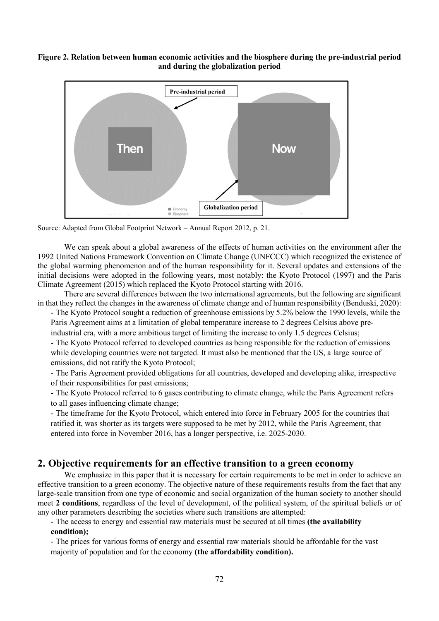Figure 2. Relation between human economic activities and the biosphere during the pre-industrial period and during the globalization period



Source: Adapted from Global Footprint Network – Annual Report 2012, p. 21.

We can speak about a global awareness of the effects of human activities on the environment after the 1992 United Nations Framework Convention on Climate Change (UNFCCC) which recognized the existence of the global warming phenomenon and of the human responsibility for it. Several updates and extensions of the initial decisions were adopted in the following years, most notably: the Kyoto Protocol (1997) and the Paris Climate Agreement (2015) which replaced the Kyoto Protocol starting with 2016.

There are several differences between the two international agreements, but the following are significant in that they reflect the changes in the awareness of climate change and of human responsibility (Benduski, 2020):

- The Kyoto Protocol sought a reduction of greenhouse emissions by 5.2% below the 1990 levels, while the Paris Agreement aims at a limitation of global temperature increase to 2 degrees Celsius above preindustrial era, with a more ambitious target of limiting the increase to only 1.5 degrees Celsius;

- The Kyoto Protocol referred to developed countries as being responsible for the reduction of emissions while developing countries were not targeted. It must also be mentioned that the US, a large source of emissions, did not ratify the Kyoto Protocol;

- The Paris Agreement provided obligations for all countries, developed and developing alike, irrespective of their responsibilities for past emissions;

- The Kyoto Protocol referred to 6 gases contributing to climate change, while the Paris Agreement refers to all gases influencing climate change;

- The timeframe for the Kyoto Protocol, which entered into force in February 2005 for the countries that ratified it, was shorter as its targets were supposed to be met by 2012, while the Paris Agreement, that entered into force in November 2016, has a longer perspective, i.e. 2025-2030.

#### 2. Objective requirements for an effective transition to a green economy

We emphasize in this paper that it is necessary for certain requirements to be met in order to achieve an effective transition to a green economy. The objective nature of these requirements results from the fact that any large-scale transition from one type of economic and social organization of the human society to another should meet 2 conditions, regardless of the level of development, of the political system, of the spiritual beliefs or of any other parameters describing the societies where such transitions are attempted:

- The access to energy and essential raw materials must be secured at all times (the availability condition);

- The prices for various forms of energy and essential raw materials should be affordable for the vast majority of population and for the economy (the affordability condition).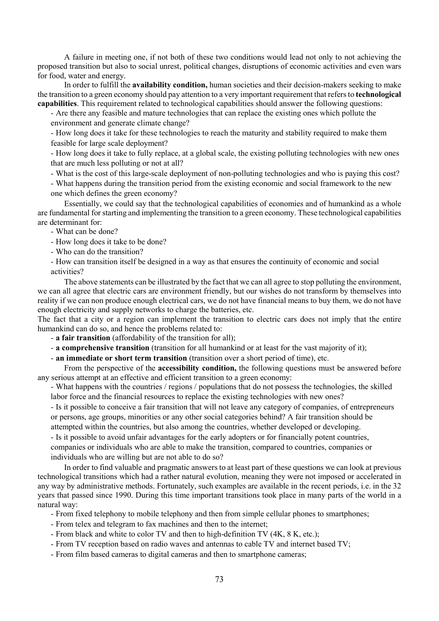A failure in meeting one, if not both of these two conditions would lead not only to not achieving the proposed transition but also to social unrest, political changes, disruptions of economic activities and even wars for food, water and energy.

In order to fulfill the **availability condition**, human societies and their decision-makers seeking to make the transition to a green economy should pay attention to a very important requirement that refers to technological capabilities. This requirement related to technological capabilities should answer the following questions:

- Are there any feasible and mature technologies that can replace the existing ones which pollute the environment and generate climate change?

- How long does it take for these technologies to reach the maturity and stability required to make them feasible for large scale deployment?

- How long does it take to fully replace, at a global scale, the existing polluting technologies with new ones that are much less polluting or not at all?

- What is the cost of this large-scale deployment of non-polluting technologies and who is paying this cost?

- What happens during the transition period from the existing economic and social framework to the new one which defines the green economy?

Essentially, we could say that the technological capabilities of economies and of humankind as a whole are fundamental for starting and implementing the transition to a green economy. These technological capabilities are determinant for:

- What can be done?

- How long does it take to be done?

- Who can do the transition?

- How can transition itself be designed in a way as that ensures the continuity of economic and social activities?

The above statements can be illustrated by the fact that we can all agree to stop polluting the environment, we can all agree that electric cars are environment friendly, but our wishes do not transform by themselves into reality if we can non produce enough electrical cars, we do not have financial means to buy them, we do not have enough electricity and supply networks to charge the batteries, etc.

The fact that a city or a region can implement the transition to electric cars does not imply that the entire humankind can do so, and hence the problems related to:

- a fair transition (affordability of the transition for all);

- a comprehensive transition (transition for all humankind or at least for the vast majority of it);

- an immediate or short term transition (transition over a short period of time), etc.

From the perspective of the **accessibility condition**, the following questions must be answered before any serious attempt at an effective and efficient transition to a green economy:

- What happens with the countries / regions / populations that do not possess the technologies, the skilled labor force and the financial resources to replace the existing technologies with new ones?

- Is it possible to conceive a fair transition that will not leave any category of companies, of entrepreneurs or persons, age groups, minorities or any other social categories behind? A fair transition should be attempted within the countries, but also among the countries, whether developed or developing.

- Is it possible to avoid unfair advantages for the early adopters or for financially potent countries, companies or individuals who are able to make the transition, compared to countries, companies or

individuals who are willing but are not able to do so?

In order to find valuable and pragmatic answers to at least part of these questions we can look at previous technological transitions which had a rather natural evolution, meaning they were not imposed or accelerated in any way by administrative methods. Fortunately, such examples are available in the recent periods, i.e. in the 32 years that passed since 1990. During this time important transitions took place in many parts of the world in a natural way:

- From fixed telephony to mobile telephony and then from simple cellular phones to smartphones;

- From telex and telegram to fax machines and then to the internet;
- From black and white to color TV and then to high-definition TV (4K, 8 K, etc.);
- From TV reception based on radio waves and antennas to cable TV and internet based TV;
- From film based cameras to digital cameras and then to smartphone cameras;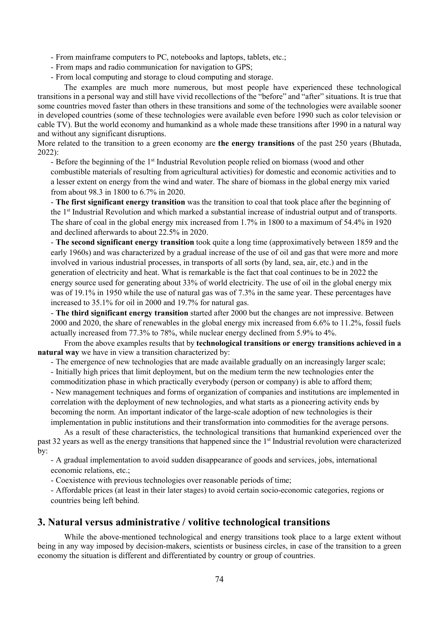- From mainframe computers to PC, notebooks and laptops, tablets, etc.;

- From maps and radio communication for navigation to GPS;
- From local computing and storage to cloud computing and storage.

The examples are much more numerous, but most people have experienced these technological transitions in a personal way and still have vivid recollections of the "before" and "after" situations. It is true that some countries moved faster than others in these transitions and some of the technologies were available sooner in developed countries (some of these technologies were available even before 1990 such as color television or cable TV). But the world economy and humankind as a whole made these transitions after 1990 in a natural way and without any significant disruptions.

More related to the transition to a green economy are the energy transitions of the past 250 years (Bhutada, 2022):

- Before the beginning of the 1<sup>st</sup> Industrial Revolution people relied on biomass (wood and other combustible materials of resulting from agricultural activities) for domestic and economic activities and to a lesser extent on energy from the wind and water. The share of biomass in the global energy mix varied from about 98.3 in 1800 to 6.7% in 2020.

- The first significant energy transition was the transition to coal that took place after the beginning of the 1st Industrial Revolution and which marked a substantial increase of industrial output and of transports. The share of coal in the global energy mix increased from 1.7% in 1800 to a maximum of 54.4% in 1920 and declined afterwards to about 22.5% in 2020.

- The second significant energy transition took quite a long time (approximatively between 1859 and the early 1960s) and was characterized by a gradual increase of the use of oil and gas that were more and more involved in various industrial processes, in transports of all sorts (by land, sea, air, etc.) and in the generation of electricity and heat. What is remarkable is the fact that coal continues to be in 2022 the energy source used for generating about 33% of world electricity. The use of oil in the global energy mix was of 19.1% in 1950 while the use of natural gas was of 7.3% in the same year. These percentages have increased to 35.1% for oil in 2000 and 19.7% for natural gas.

- The third significant energy transition started after 2000 but the changes are not impressive. Between 2000 and 2020, the share of renewables in the global energy mix increased from 6.6% to 11.2%, fossil fuels actually increased from 77.3% to 78%, while nuclear energy declined from 5.9% to 4%.

From the above examples results that by technological transitions or energy transitions achieved in a natural way we have in view a transition characterized by:

- The emergence of new technologies that are made available gradually on an increasingly larger scale;

- Initially high prices that limit deployment, but on the medium term the new technologies enter the commoditization phase in which practically everybody (person or company) is able to afford them;

- New management techniques and forms of organization of companies and institutions are implemented in correlation with the deployment of new technologies, and what starts as a pioneering activity ends by becoming the norm. An important indicator of the large-scale adoption of new technologies is their implementation in public institutions and their transformation into commodities for the average persons.

As a result of these characteristics, the technological transitions that humankind experienced over the past 32 years as well as the energy transitions that happened since the 1<sup>st</sup> Industrial revolution were characterized by:

- A gradual implementation to avoid sudden disappearance of goods and services, jobs, international economic relations, etc.;

- Coexistence with previous technologies over reasonable periods of time;

- Affordable prices (at least in their later stages) to avoid certain socio-economic categories, regions or countries being left behind.

### 3. Natural versus administrative / volitive technological transitions

While the above-mentioned technological and energy transitions took place to a large extent without being in any way imposed by decision-makers, scientists or business circles, in case of the transition to a green economy the situation is different and differentiated by country or group of countries.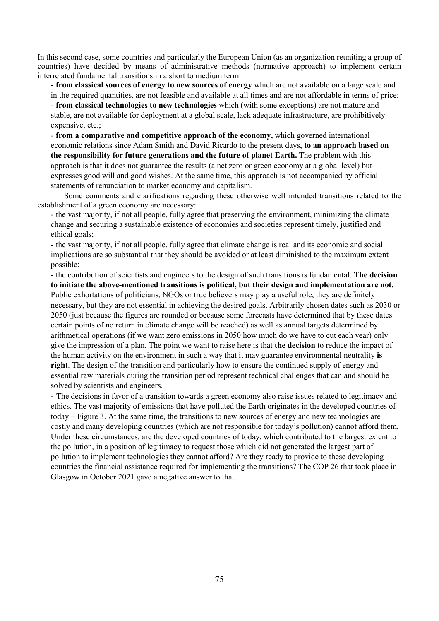In this second case, some countries and particularly the European Union (as an organization reuniting a group of countries) have decided by means of administrative methods (normative approach) to implement certain interrelated fundamental transitions in a short to medium term:

- from classical sources of energy to new sources of energy which are not available on a large scale and in the required quantities, are not feasible and available at all times and are not affordable in terms of price;

- from classical technologies to new technologies which (with some exceptions) are not mature and stable, are not available for deployment at a global scale, lack adequate infrastructure, are prohibitively expensive, etc.;

- from a comparative and competitive approach of the economy, which governed international economic relations since Adam Smith and David Ricardo to the present days, to an approach based on the responsibility for future generations and the future of planet Earth. The problem with this approach is that it does not guarantee the results (a net zero or green economy at a global level) but expresses good will and good wishes. At the same time, this approach is not accompanied by official statements of renunciation to market economy and capitalism.

Some comments and clarifications regarding these otherwise well intended transitions related to the establishment of a green economy are necessary:

- the vast majority, if not all people, fully agree that preserving the environment, minimizing the climate change and securing a sustainable existence of economies and societies represent timely, justified and ethical goals;

- the vast majority, if not all people, fully agree that climate change is real and its economic and social implications are so substantial that they should be avoided or at least diminished to the maximum extent possible;

- the contribution of scientists and engineers to the design of such transitions is fundamental. The decision to initiate the above-mentioned transitions is political, but their design and implementation are not. Public exhortations of politicians, NGOs or true believers may play a useful role, they are definitely necessary, but they are not essential in achieving the desired goals. Arbitrarily chosen dates such as 2030 or 2050 (just because the figures are rounded or because some forecasts have determined that by these dates certain points of no return in climate change will be reached) as well as annual targets determined by arithmetical operations (if we want zero emissions in 2050 how much do we have to cut each year) only give the impression of a plan. The point we want to raise here is that the decision to reduce the impact of the human activity on the environment in such a way that it may guarantee environmental neutrality is right. The design of the transition and particularly how to ensure the continued supply of energy and essential raw materials during the transition period represent technical challenges that can and should be solved by scientists and engineers.

- The decisions in favor of a transition towards a green economy also raise issues related to legitimacy and ethics. The vast majority of emissions that have polluted the Earth originates in the developed countries of today – Figure 3. At the same time, the transitions to new sources of energy and new technologies are costly and many developing countries (which are not responsible for today's pollution) cannot afford them. Under these circumstances, are the developed countries of today, which contributed to the largest extent to the pollution, in a position of legitimacy to request those which did not generated the largest part of pollution to implement technologies they cannot afford? Are they ready to provide to these developing countries the financial assistance required for implementing the transitions? The COP 26 that took place in Glasgow in October 2021 gave a negative answer to that.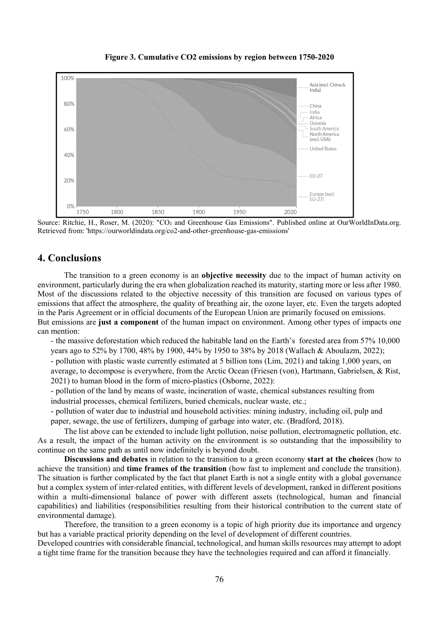

Figure 3. Cumulative CO2 emissions by region between 1750-2020

Source: Ritchie, H., Roser, M. (2020): "CO<sub>2</sub> and Greenhouse Gas Emissions". Published online at OurWorldInData.org. Retrieved from: 'https://ourworldindata.org/co2-and-other-greenhouse-gas-emissions'

### 4. Conclusions

The transition to a green economy is an **objective necessity** due to the impact of human activity on environment, particularly during the era when globalization reached its maturity, starting more or less after 1980. Most of the discussions related to the objective necessity of this transition are focused on various types of emissions that affect the atmosphere, the quality of breathing air, the ozone layer, etc. Even the targets adopted in the Paris Agreement or in official documents of the European Union are primarily focused on emissions. But emissions are just a component of the human impact on environment. Among other types of impacts one can mention:

- the massive deforestation which reduced the habitable land on the Earth's forested area from 57% 10,000 years ago to 52% by 1700, 48% by 1900, 44% by 1950 to 38% by 2018 (Wallach & Aboulazm, 2022);

- pollution with plastic waste currently estimated at 5 billion tons (Lim, 2021) and taking 1,000 years, on

average, to decompose is everywhere, from the Arctic Ocean (Friesen (von), Hartmann, Gabrielsen, & Rist, 2021) to human blood in the form of micro-plastics (Osborne, 2022):

- pollution of the land by means of waste, incineration of waste, chemical substances resulting from industrial processes, chemical fertilizers, buried chemicals, nuclear waste, etc.;

- pollution of water due to industrial and household activities: mining industry, including oil, pulp and paper, sewage, the use of fertilizers, dumping of garbage into water, etc. (Bradford, 2018).

The list above can be extended to include light pollution, noise pollution, electromagnetic pollution, etc. As a result, the impact of the human activity on the environment is so outstanding that the impossibility to continue on the same path as until now indefinitely is beyond doubt.

Discussions and debates in relation to the transition to a green economy start at the choices (how to achieve the transition) and time frames of the transition (how fast to implement and conclude the transition). The situation is further complicated by the fact that planet Earth is not a single entity with a global governance but a complex system of inter-related entities, with different levels of development, ranked in different positions within a multi-dimensional balance of power with different assets (technological, human and financial capabilities) and liabilities (responsibilities resulting from their historical contribution to the current state of environmental damage).

Therefore, the transition to a green economy is a topic of high priority due its importance and urgency but has a variable practical priority depending on the level of development of different countries.

Developed countries with considerable financial, technological, and human skills resources may attempt to adopt a tight time frame for the transition because they have the technologies required and can afford it financially.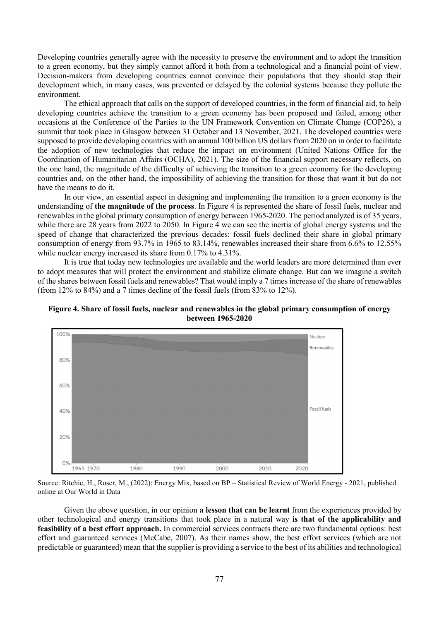Developing countries generally agree with the necessity to preserve the environment and to adopt the transition to a green economy, but they simply cannot afford it both from a technological and a financial point of view. Decision-makers from developing countries cannot convince their populations that they should stop their development which, in many cases, was prevented or delayed by the colonial systems because they pollute the environment.

The ethical approach that calls on the support of developed countries, in the form of financial aid, to help developing countries achieve the transition to a green economy has been proposed and failed, among other occasions at the Conference of the Parties to the UN Framework Convention on Climate Change (COP26), a summit that took place in Glasgow between 31 October and 13 November, 2021. The developed countries were supposed to provide developing countries with an annual 100 billion US dollars from 2020 on in order to facilitate the adoption of new technologies that reduce the impact on environment (United Nations Office for the Coordination of Humanitarian Affairs (OCHA), 2021). The size of the financial support necessary reflects, on the one hand, the magnitude of the difficulty of achieving the transition to a green economy for the developing countries and, on the other hand, the impossibility of achieving the transition for those that want it but do not have the means to do it.

In our view, an essential aspect in designing and implementing the transition to a green economy is the understanding of the magnitude of the process. In Figure 4 is represented the share of fossil fuels, nuclear and renewables in the global primary consumption of energy between 1965-2020. The period analyzed is of 35 years, while there are 28 years from 2022 to 2050. In Figure 4 we can see the inertia of global energy systems and the speed of change that characterized the previous decades: fossil fuels declined their share in global primary consumption of energy from 93.7% in 1965 to 83.14%, renewables increased their share from 6.6% to 12.55% while nuclear energy increased its share from 0.17% to 4.31%.

It is true that today new technologies are available and the world leaders are more determined than ever to adopt measures that will protect the environment and stabilize climate change. But can we imagine a switch of the shares between fossil fuels and renewables? That would imply a 7 times increase of the share of renewables (from 12% to 84%) and a 7 times decline of the fossil fuels (from 83% to 12%).





Source: Ritchie, H., Roser, M., (2022): Energy Mix, based on BP – Statistical Review of World Energy - 2021, published online at Our World in Data

Given the above question, in our opinion a lesson that can be learnt from the experiences provided by other technological and energy transitions that took place in a natural way is that of the applicability and feasibility of a best effort approach. In commercial services contracts there are two fundamental options: best effort and guaranteed services (McCabe, 2007). As their names show, the best effort services (which are not predictable or guaranteed) mean that the supplier is providing a service to the best of its abilities and technological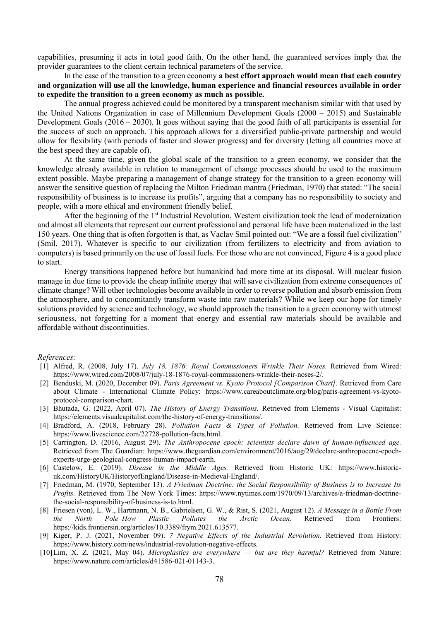capabilities, presuming it acts in total good faith. On the other hand, the guaranteed services imply that the provider guarantees to the client certain technical parameters of the service.

In the case of the transition to a green economy a best effort approach would mean that each country and organization will use all the knowledge, human experience and financial resources available in order to expedite the transition to a green economy as much as possible.

The annual progress achieved could be monitored by a transparent mechanism similar with that used by the United Nations Organization in case of Millennium Development Goals (2000 – 2015) and Sustainable Development Goals  $(2016 - 2030)$ . It goes without saying that the good faith of all participants is essential for the success of such an approach. This approach allows for a diversified public-private partnership and would allow for flexibility (with periods of faster and slower progress) and for diversity (letting all countries move at the best speed they are capable of).

At the same time, given the global scale of the transition to a green economy, we consider that the knowledge already available in relation to management of change processes should be used to the maximum extent possible. Maybe preparing a management of change strategy for the transition to a green economy will answer the sensitive question of replacing the Milton Friedman mantra (Friedman, 1970) that stated: "The social responsibility of business is to increase its profits", arguing that a company has no responsibility to society and people, with a more ethical and environment friendly belief.

After the beginning of the 1<sup>st</sup> Industrial Revolution, Western civilization took the lead of modernization and almost all elements that represent our current professional and personal life have been materialized in the last 150 years. One thing that is often forgotten is that, as Vaclav Smil pointed out: "We are a fossil fuel civilization" (Smil, 2017). Whatever is specific to our civilization (from fertilizers to electricity and from aviation to computers) is based primarily on the use of fossil fuels. For those who are not convinced, Figure 4 is a good place to start.

Energy transitions happened before but humankind had more time at its disposal. Will nuclear fusion manage in due time to provide the cheap infinite energy that will save civilization from extreme consequences of climate change? Will other technologies become available in order to reverse pollution and absorb emission from the atmosphere, and to concomitantly transform waste into raw materials? While we keep our hope for timely solutions provided by science and technology, we should approach the transition to a green economy with utmost seriousness, not forgetting for a moment that energy and essential raw materials should be available and affordable without discontinuities.

#### References:

- [1] Alfred, R. (2008, July 17). July 18, 1876: Royal Commissioners Wrinkle Their Noses. Retrieved from Wired: https://www.wired.com/2008/07/july-18-1876-royal-commissioners-wrinkle-their-noses-2/.
- [2] Benduski, M. (2020, December 09). Paris Agreement vs. Kyoto Protocol [Comparison Chart]. Retrieved from Care about Climate - International Climate Policy: https://www.careaboutclimate.org/blog/paris-agreement-vs-kyotoprotocol-comparison-chart.
- [3] Bhutada, G. (2022, April 07). The History of Energy Transitions. Retrieved from Elements Visual Capitalist: https://elements.visualcapitalist.com/the-history-of-energy-transitions/.
- [4] Bradford, A. (2018, February 28). Pollution Facts & Types of Pollution. Retrieved from Live Science: https://www.livescience.com/22728-pollution-facts.html.
- [5] Carrington, D. (2016, August 29). The Anthropocene epoch: scientists declare dawn of human-influenced age. Retrieved from The Guardian: https://www.theguardian.com/environment/2016/aug/29/declare-anthropocene-epochexperts-urge-geological-congress-human-impact-earth.
- [6] Castelow, E. (2019). Disease in the Middle Ages. Retrieved from Historic UK: https://www.historicuk.com/HistoryUK/HistoryofEngland/Disease-in-Medieval-England/.
- [7] Friedman, M. (1970, September 13). A Friedman Doctrine: the Social Responsibility of Business is to Increase Its Profits. Retrieved from The New York Times: https://www.nytimes.com/1970/09/13/archives/a-friedman-doctrinethe-social-responsibility-of-business-is-to.html.
- [8] Friesen (von), L. W., Hartmann, N. B., Gabrielsen, G. W., & Rist, S. (2021, August 12). A Message in a Bottle From the North Pole–How Plastic Pollutes the Arctic Ocean. Retrieved from Frontiers: https://kids.frontiersin.org/articles/10.3389/frym.2021.613577.
- [9] Kiger, P. J. (2021, November 09). 7 Negative Effects of the Industrial Revolution. Retrieved from History: https://www.history.com/news/industrial-revolution-negative-effects.
- [10]Lim, X. Z. (2021, May 04). Microplastics are everywhere but are they harmful? Retrieved from Nature: https://www.nature.com/articles/d41586-021-01143-3.